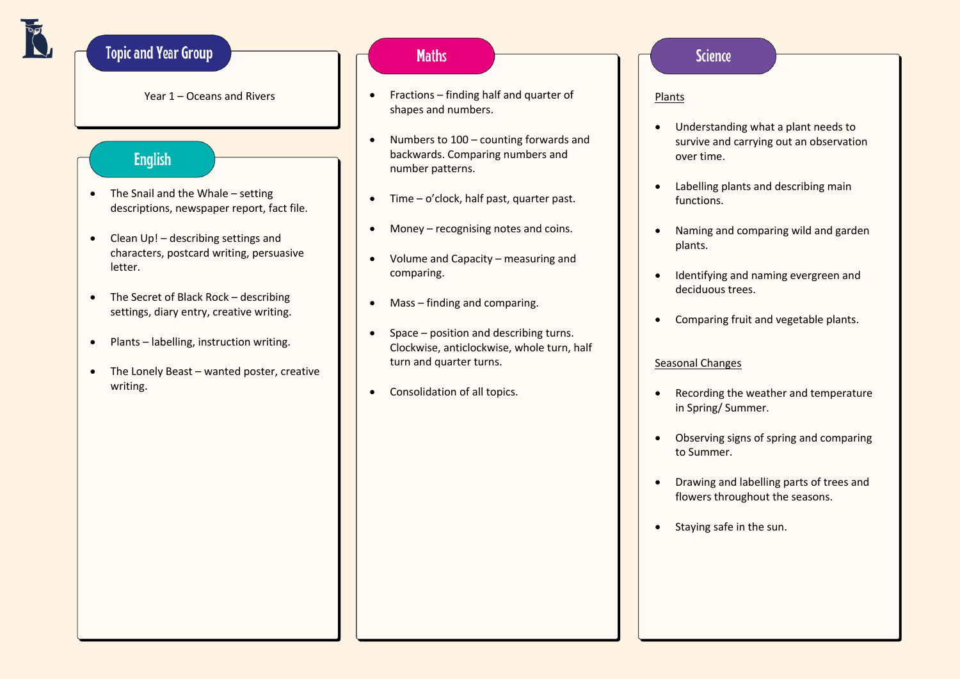# **Topic and Year Group**

Year 1 – Oceans and Rivers

#### **English**

- The Snail and the Whale setting descriptions, newspaper report, fact file.
- Clean Up! describing settings and characters, postcard writing, persuasive letter.
- The Secret of Black Rock describing settings, diary entry, creative writing.
- Plants labelling, instruction writing.
- The Lonely Beast wanted poster, creative writing.

# **Maths**

- Fractions finding half and quarter of shapes and numbers.
- Numbers to 100 counting forwards and backwards. Comparing numbers and number patterns.
- Time o'clock, half past, quarter past.
- Money recognising notes and coins.
- Volume and Capacity measuring and comparing.
- Mass finding and comparing.
- Space position and describing turns. Clockwise, anticlockwise, whole turn, half turn and quarter turns.
- Consolidation of all topics.

#### **Science**

Plants

- Understanding what a plant needs to survive and carrying out an observation over time.
- Labelling plants and describing main functions.
- Naming and comparing wild and garden plants.
- Identifying and naming evergreen and deciduous trees.
- Comparing fruit and vegetable plants.

#### Seasonal Changes

- Recording the weather and temperature in Spring/ Summer.
- Observing signs of spring and comparing to Summer.
- Drawing and labelling parts of trees and flowers throughout the seasons.
- Staying safe in the sun.